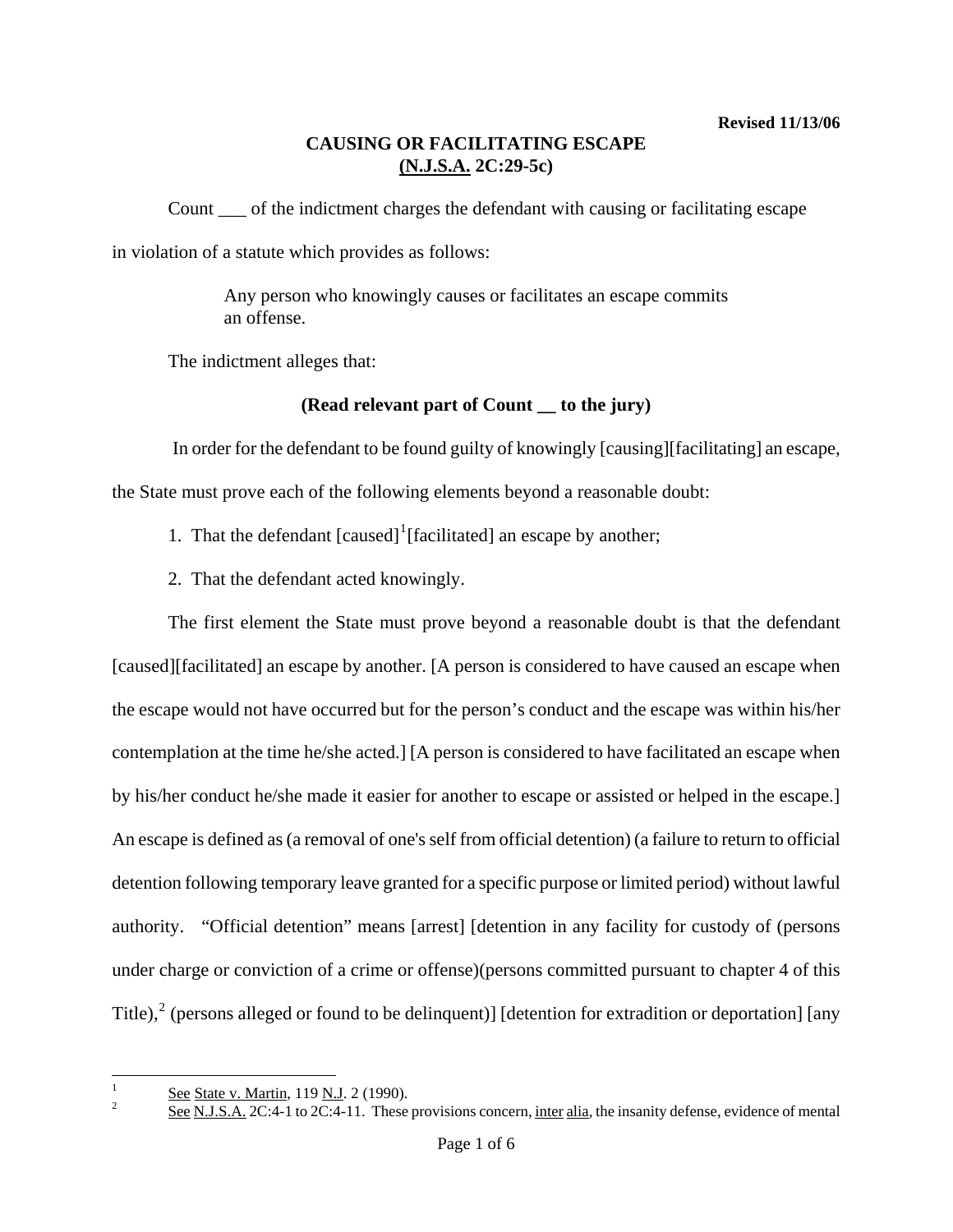Count \_\_\_ of the indictment charges the defendant with causing or facilitating escape in violation of a statute which provides as follows:

> Any person who knowingly causes or facilitates an escape commits an offense.

The indictment alleges that:

# **(Read relevant part of Count \_\_ to the jury)**

 In order for the defendant to be found guilty of knowingly [causing][facilitating] an escape, the State must prove each of the following elements beyond a reasonable doubt:

- [1](#page-0-0). That the defendant  $[caused]$ <sup>1</sup> $[facilitated]$  an escape by another;
- 2. That the defendant acted knowingly.

The first element the State must prove beyond a reasonable doubt is that the defendant [caused][facilitated] an escape by another. [A person is considered to have caused an escape when the escape would not have occurred but for the person's conduct and the escape was within his/her contemplation at the time he/she acted.] [A person is considered to have facilitated an escape when by his/her conduct he/she made it easier for another to escape or assisted or helped in the escape.] An escape is defined as (a removal of one's self from official detention) (a failure to return to official detention following temporary leave granted for a specific purpose or limited period) without lawful authority. "Official detention" means [arrest] [detention in any facility for custody of (persons under charge or conviction of a crime or offense)(persons committed pursuant to chapter 4 of this Title),<sup>[2](#page-0-1)</sup> (persons alleged or found to be delinquent)] [detention for extradition or deportation] [any

<span id="page-0-2"></span><span id="page-0-0"></span> $\frac{1}{1}$  $\frac{See}{S}$  State v. Martin, 119 N.J. 2 (1990).

<span id="page-0-1"></span>See N.J.S.A. 2C:4-1 to 2C:4-11. These provisions concern, inter alia, the insanity defense, evidence of mental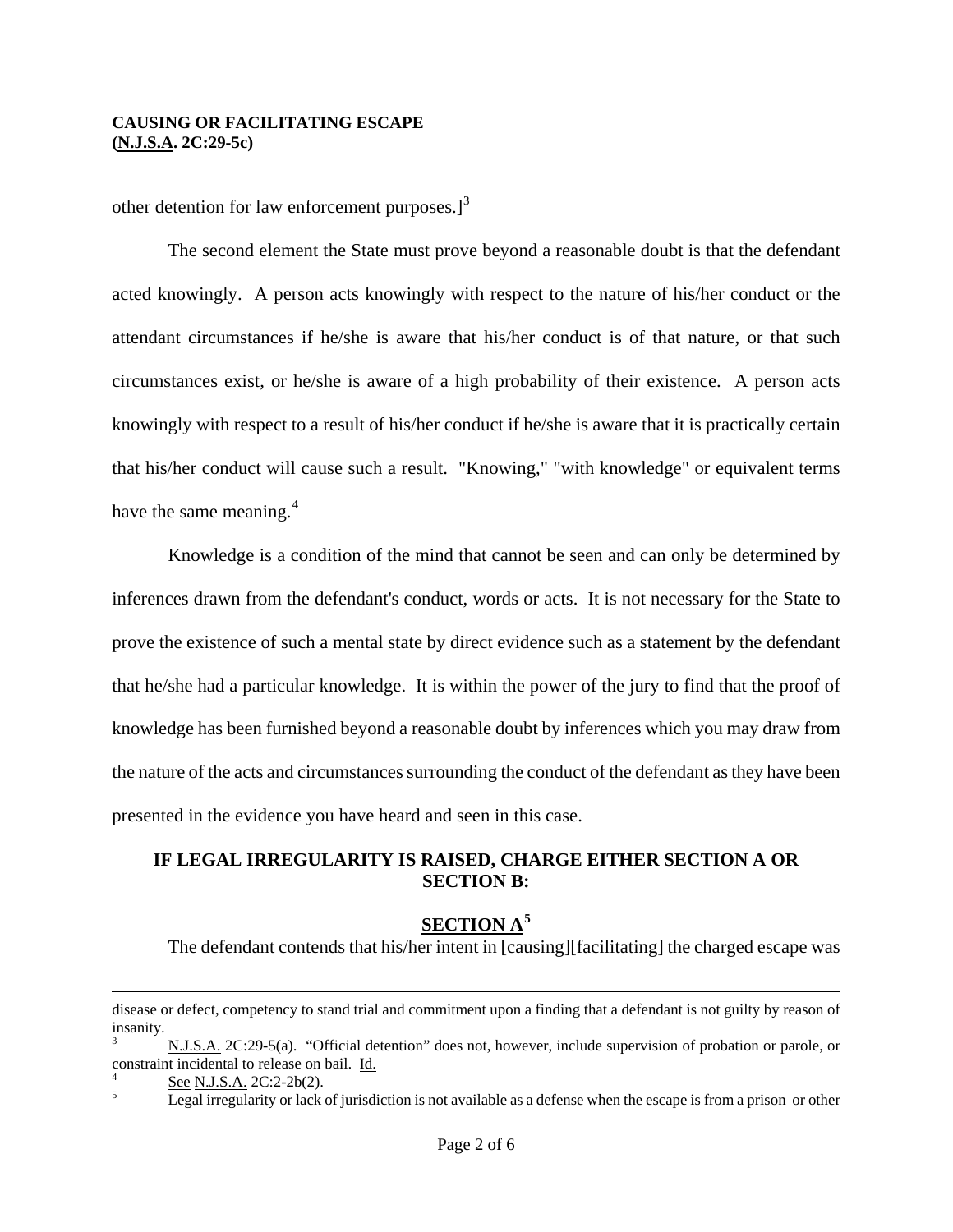other detention for law enforcement purposes. $]^{3}$  $]^{3}$  $]^{3}$ 

The second element the State must prove beyond a reasonable doubt is that the defendant acted knowingly. A person acts knowingly with respect to the nature of his/her conduct or the attendant circumstances if he/she is aware that his/her conduct is of that nature, or that such circumstances exist, or he/she is aware of a high probability of their existence. A person acts knowingly with respect to a result of his/her conduct if he/she is aware that it is practically certain that his/her conduct will cause such a result. "Knowing," "with knowledge" or equivalent terms have the same meaning.<sup>[4](#page-1-0)</sup>

Knowledge is a condition of the mind that cannot be seen and can only be determined by inferences drawn from the defendant's conduct, words or acts. It is not necessary for the State to prove the existence of such a mental state by direct evidence such as a statement by the defendant that he/she had a particular knowledge. It is within the power of the jury to find that the proof of knowledge has been furnished beyond a reasonable doubt by inferences which you may draw from the nature of the acts and circumstances surrounding the conduct of the defendant as they have been presented in the evidence you have heard and seen in this case.

## **IF LEGAL IRREGULARITY IS RAISED, CHARGE EITHER SECTION A OR SECTION B:**

## **SECTION A[5](#page-1-1)**

The defendant contends that his/her intent in [causing][facilitating] the charged escape was

<span id="page-1-2"></span>disease or defect, competency to stand trial and commitment upon a finding that a defendant is not guilty by reason of insanity.

<sup>3</sup> N.J.S.A. 2C:29-5(a). "Official detention" does not, however, include supervision of probation or parole, or constraint incidental to release on bail. Id.

<span id="page-1-0"></span> $\frac{6}{5}$  See N.J.S.A. 2C:2-2b(2).

<span id="page-1-1"></span>Legal irregularity or lack of jurisdiction is not available as a defense when the escape is from a prison or other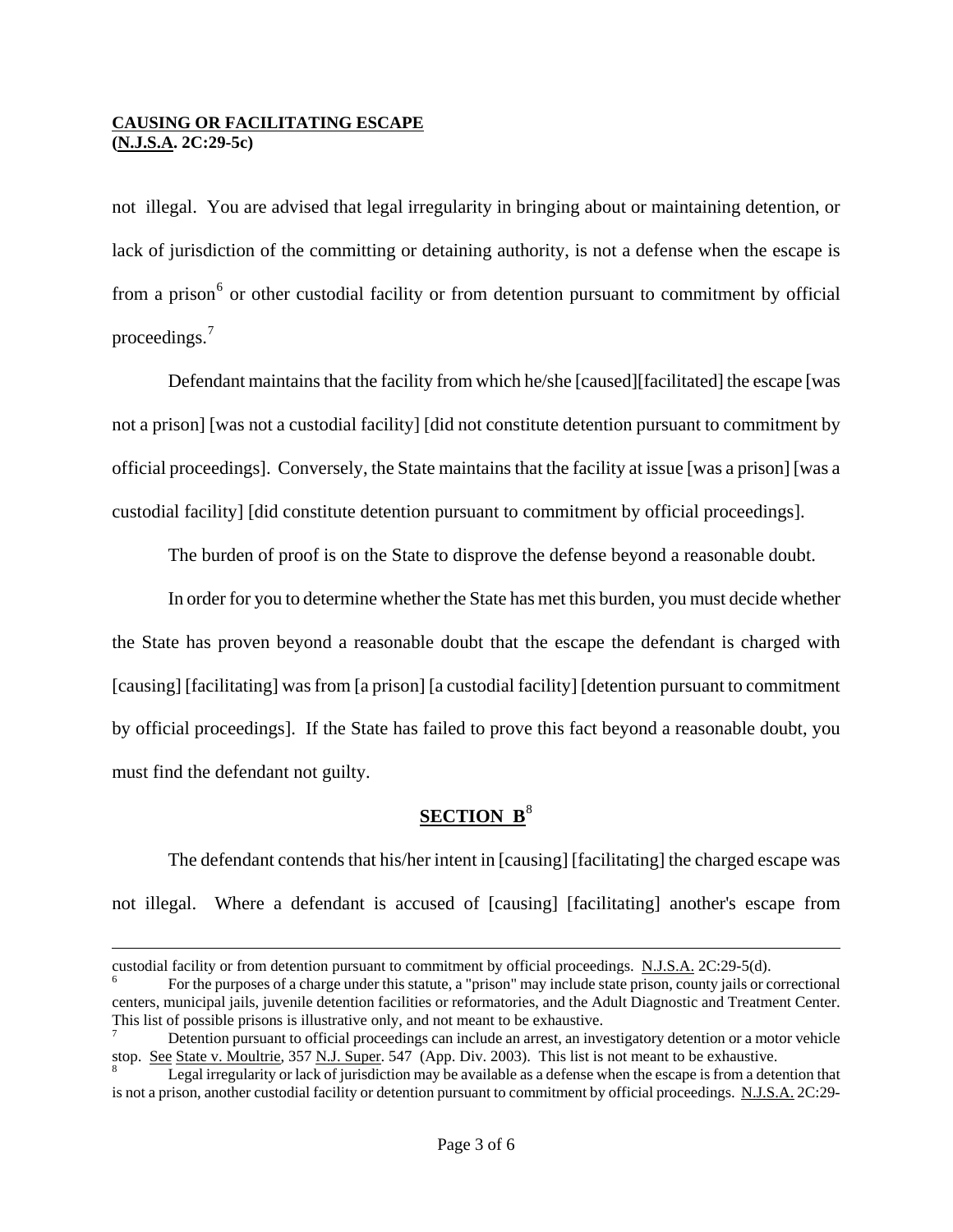not illegal. You are advised that legal irregularity in bringing about or maintaining detention, or lack of jurisdiction of the committing or detaining authority, is not a defense when the escape is from a prison<sup>[6](#page-1-2)</sup> or other custodial facility or from detention pursuant to commitment by official proceedings.[7](#page-2-0)

Defendant maintains that the facility from which he/she [caused][facilitated] the escape [was not a prison] [was not a custodial facility] [did not constitute detention pursuant to commitment by official proceedings]. Conversely, the State maintains that the facility at issue [was a prison] [was a custodial facility] [did constitute detention pursuant to commitment by official proceedings].

The burden of proof is on the State to disprove the defense beyond a reasonable doubt.

In order for you to determine whether the State has met this burden, you must decide whether the State has proven beyond a reasonable doubt that the escape the defendant is charged with [causing] [facilitating] was from [a prison] [a custodial facility] [detention pursuant to commitment by official proceedings]. If the State has failed to prove this fact beyond a reasonable doubt, you must find the defendant not guilty.

# **SECTION B<sup>[8](#page-2-1)</sup>**

The defendant contends that his/her intent in [causing] [facilitating] the charged escape was not illegal. Where a defendant is accused of [causing] [facilitating] another's escape from

custodial facility or from detention pursuant to commitment by official proceedings. N.J.S.A. 2C:29-5(d).

For the purposes of a charge under this statute, a "prison" may include state prison, county jails or correctional centers, municipal jails, juvenile detention facilities or reformatories, and the Adult Diagnostic and Treatment Center. This list of possible prisons is illustrative only, and not meant to be exhaustive. 7

<span id="page-2-2"></span><span id="page-2-0"></span>Detention pursuant to official proceedings can include an arrest, an investigatory detention or a motor vehicle stop. See State v. Moultrie, 357 N.J. Super. 547 (App. Div. 2003). This list is not meant to be exhaustive.

<span id="page-2-1"></span>Legal irregularity or lack of jurisdiction may be available as a defense when the escape is from a detention that is not a prison, another custodial facility or detention pursuant to commitment by official proceedings. N.J.S.A. 2C:29-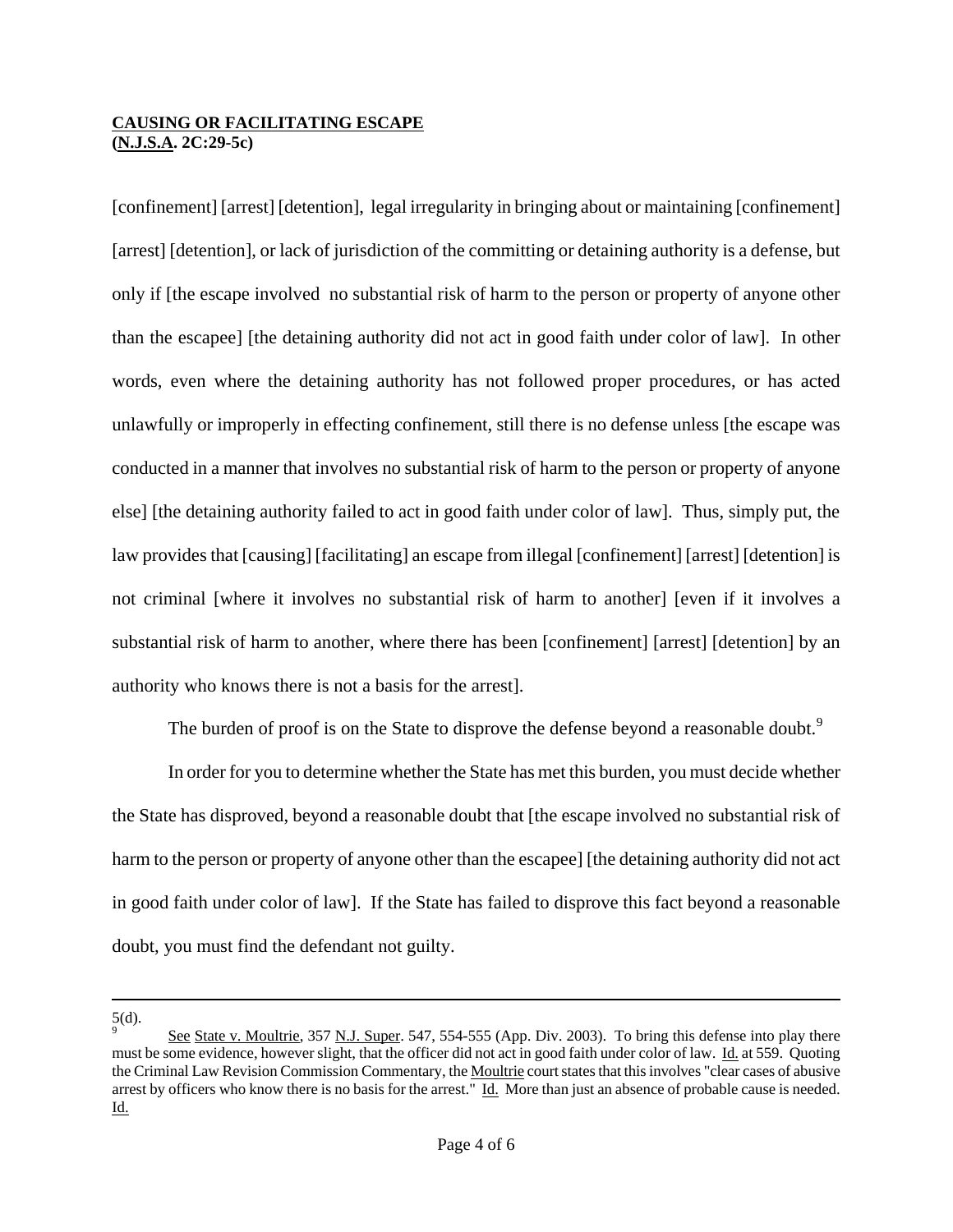[confinement] [arrest] [detention], legal irregularity in bringing about or maintaining [confinement] [arrest] [detention], or lack of jurisdiction of the committing or detaining authority is a defense, but only if [the escape involved no substantial risk of harm to the person or property of anyone other than the escapee] [the detaining authority did not act in good faith under color of law]. In other words, even where the detaining authority has not followed proper procedures, or has acted unlawfully or improperly in effecting confinement, still there is no defense unless [the escape was conducted in a manner that involves no substantial risk of harm to the person or property of anyone else] [the detaining authority failed to act in good faith under color of law]. Thus, simply put, the law provides that [causing] [facilitating] an escape from illegal [confinement] [arrest] [detention] is not criminal [where it involves no substantial risk of harm to another] [even if it involves a substantial risk of harm to another, where there has been [confinement] [arrest] [detention] by an authority who knows there is not a basis for the arrest].

The burden of proof is on the State to disprove the defense beyond a reasonable doubt.<sup>[9](#page-2-2)</sup>

In order for you to determine whether the State has met this burden, you must decide whether the State has disproved, beyond a reasonable doubt that [the escape involved no substantial risk of harm to the person or property of anyone other than the escapee] [the detaining authority did not act in good faith under color of law].If the State has failed to disprove this fact beyond a reasonable doubt, you must find the defendant not guilty.

 $\frac{5}{9}$ .

 $\overline{a}$ 

<span id="page-3-0"></span>See State v. Moultrie, 357 N.J. Super. 547, 554-555 (App. Div. 2003). To bring this defense into play there must be some evidence, however slight, that the officer did not act in good faith under color of law. Id. at 559. Quoting the Criminal Law Revision Commission Commentary, the Moultrie court states that this involves "clear cases of abusive arrest by officers who know there is no basis for the arrest." Id. More than just an absence of probable cause is needed. Id.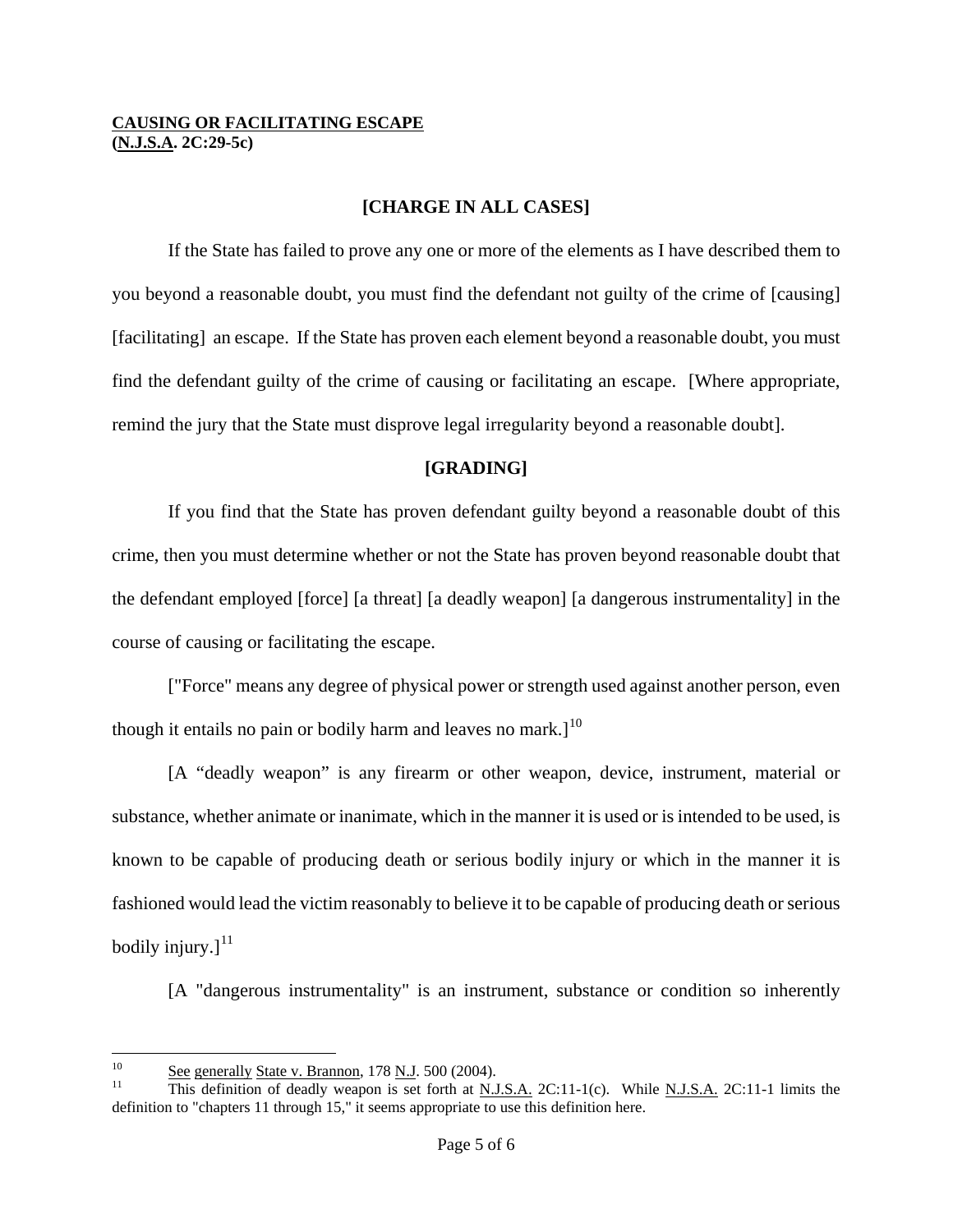### **[CHARGE IN ALL CASES]**

If the State has failed to prove any one or more of the elements as I have described them to you beyond a reasonable doubt, you must find the defendant not guilty of the crime of [causing] [facilitating] an escape. If the State has proven each element beyond a reasonable doubt, you must find the defendant guilty of the crime of causing or facilitating an escape. [Where appropriate, remind the jury that the State must disprove legal irregularity beyond a reasonable doubt].

### **[GRADING]**

If you find that the State has proven defendant guilty beyond a reasonable doubt of this crime, then you must determine whether or not the State has proven beyond reasonable doubt that the defendant employed [force] [a threat] [a deadly weapon] [a dangerous instrumentality] in the course of causing or facilitating the escape.

["Force" means any degree of physical power or strength used against another person, even though it entails no pain or bodily harm and leaves no mark.]<sup>[10](#page-3-0)</sup>

[A "deadly weapon" is any firearm or other weapon, device, instrument, material or substance, whether animate or inanimate, which in the manner it is used or is intended to be used, is known to be capable of producing death or serious bodily injury or which in the manner it is fashioned would lead the victim reasonably to believe it to be capable of producing death or serious bodily injury. $]$ <sup>[11](#page-4-0)</sup>

[A "dangerous instrumentality" is an instrument, substance or condition so inherently

 $10<sup>10</sup>$ 

<span id="page-4-1"></span><span id="page-4-0"></span> $\frac{10}{11}$  See generally State v. Brannon, 178 N.J. 500 (2004).<br><sup>11</sup> This definition of deadly weapon is set forth at N.J.S.A. 2C:11-1(c). While N.J.S.A. 2C:11-1 limits the definition to "chapters 11 through 15," it seems appropriate to use this definition here.